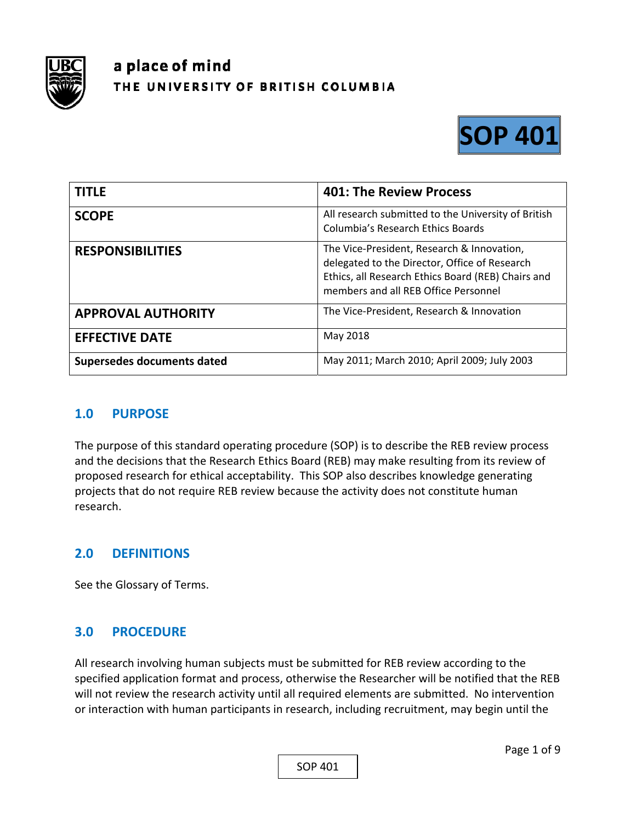

# a place of mind THE UNIVERSITY OF BRITISH COLUMBIA



| <b>TITLE</b>               | <b>401: The Review Process</b>                                                                                                                                                            |
|----------------------------|-------------------------------------------------------------------------------------------------------------------------------------------------------------------------------------------|
| <b>SCOPE</b>               | All research submitted to the University of British<br><b>Columbia's Research Ethics Boards</b>                                                                                           |
| <b>RESPONSIBILITIES</b>    | The Vice-President, Research & Innovation,<br>delegated to the Director, Office of Research<br>Ethics, all Research Ethics Board (REB) Chairs and<br>members and all REB Office Personnel |
| <b>APPROVAL AUTHORITY</b>  | The Vice-President, Research & Innovation                                                                                                                                                 |
| <b>EFFECTIVE DATE</b>      | May 2018                                                                                                                                                                                  |
| Supersedes documents dated | May 2011; March 2010; April 2009; July 2003                                                                                                                                               |

## **1.0 PURPOSE**

The purpose of this standard operating procedure (SOP) is to describe the REB review process and the decisions that the Research Ethics Board (REB) may make resulting from its review of proposed research for ethical acceptability. This SOP also describes knowledge generating projects that do not require REB review because the activity does not constitute human research.

# **2.0 DEFINITIONS**

See the Glossary of Terms.

## **3.0 PROCEDURE**

All research involving human subjects must be submitted for REB review according to the specified application format and process, otherwise the Researcher will be notified that the REB will not review the research activity until all required elements are submitted. No intervention or interaction with human participants in research, including recruitment, may begin until the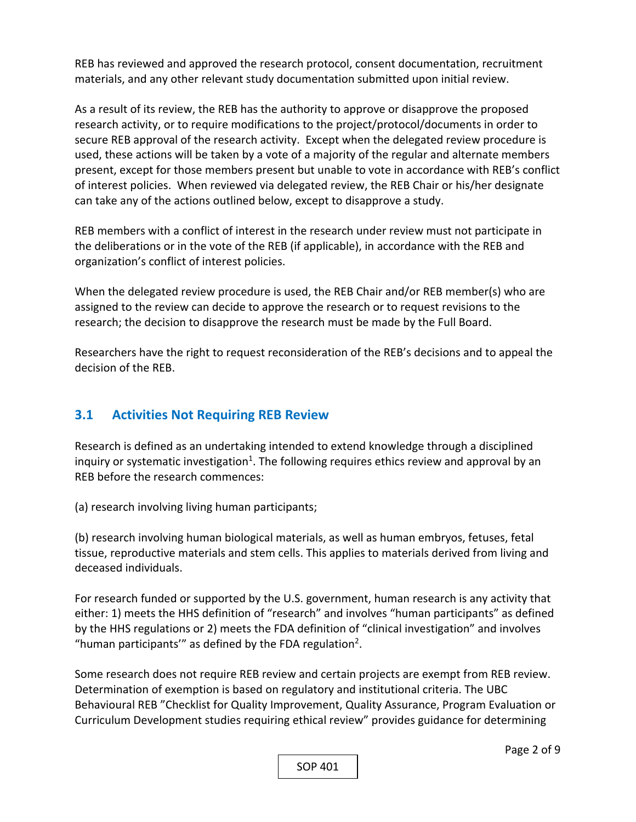REB has reviewed and approved the research protocol, consent documentation, recruitment materials, and any other relevant study documentation submitted upon initial review.

As a result of its review, the REB has the authority to approve or disapprove the proposed research activity, or to require modifications to the project/protocol/documents in order to secure REB approval of the research activity. Except when the delegated review procedure is used, these actions will be taken by a vote of a majority of the regular and alternate members present, except for those members present but unable to vote in accordance with REB's conflict of interest policies. When reviewed via delegated review, the REB Chair or his/her designate can take any of the actions outlined below, except to disapprove a study.

REB members with a conflict of interest in the research under review must not participate in the deliberations or in the vote of the REB (if applicable), in accordance with the REB and organization's conflict of interest policies.

When the delegated review procedure is used, the REB Chair and/or REB member(s) who are assigned to the review can decide to approve the research or to request revisions to the research; the decision to disapprove the research must be made by the Full Board.

Researchers have the right to request reconsideration of the REB's decisions and to appeal the decision of the REB.

# **3.1 Activities Not Requiring REB Review**

Research is defined as an undertaking intended to extend knowledge through a disciplined inquiry or systematic investigation<sup>1</sup>. The following requires ethics review and approval by an REB before the research commences:

(a) research involving living human participants;

(b) research involving human biological materials, as well as human embryos, fetuses, fetal tissue, reproductive materials and stem cells. This applies to materials derived from living and deceased individuals.

For research funded or supported by the U.S. government, human research is any activity that either: 1) meets the HHS definition of "research" and involves "human participants" as defined by the HHS regulations or 2) meets the FDA definition of "clinical investigation" and involves "human participants'" as defined by the FDA regulation<sup>2</sup>.

Some research does not require REB review and certain projects are exempt from REB review. Determination of exemption is based on regulatory and institutional criteria. The UBC Behavioural REB "Checklist for Quality Improvement, Quality Assurance, Program Evaluation or Curriculum Development studies requiring ethical review" provides guidance for determining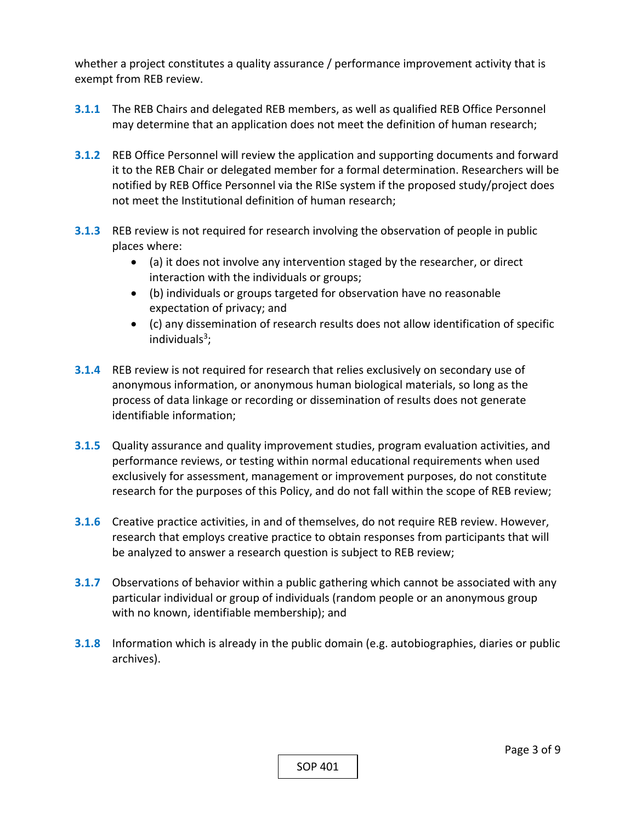whether a project constitutes a quality assurance / performance improvement activity that is exempt from REB review.

- **3.1.1** The REB Chairs and delegated REB members, as well as qualified REB Office Personnel may determine that an application does not meet the definition of human research;
- **3.1.2** REB Office Personnel will review the application and supporting documents and forward it to the REB Chair or delegated member for a formal determination. Researchers will be notified by REB Office Personnel via the RISe system if the proposed study/project does not meet the Institutional definition of human research;
- **3.1.3**  REB review is not required for research involving the observation of people in public places where:
	- (a) it does not involve any intervention staged by the researcher, or direct interaction with the individuals or groups;
	- (b) individuals or groups targeted for observation have no reasonable expectation of privacy; and
	- (c) any dissemination of research results does not allow identification of specific individuals $3$ :
- **3.1.4**  REB review is not required for research that relies exclusively on secondary use of anonymous information, or anonymous human biological materials, so long as the process of data linkage or recording or dissemination of results does not generate identifiable information;
- **3.1.5**  Quality assurance and quality improvement studies, program evaluation activities, and performance reviews, or testing within normal educational requirements when used exclusively for assessment, management or improvement purposes, do not constitute research for the purposes of this Policy, and do not fall within the scope of REB review;
- **3.1.6**  Creative practice activities, in and of themselves, do not require REB review. However, research that employs creative practice to obtain responses from participants that will be analyzed to answer a research question is subject to REB review;
- **3.1.7**  Observations of behavior within a public gathering which cannot be associated with any particular individual or group of individuals (random people or an anonymous group with no known, identifiable membership); and
- **3.1.8**  Information which is already in the public domain (e.g. autobiographies, diaries or public archives).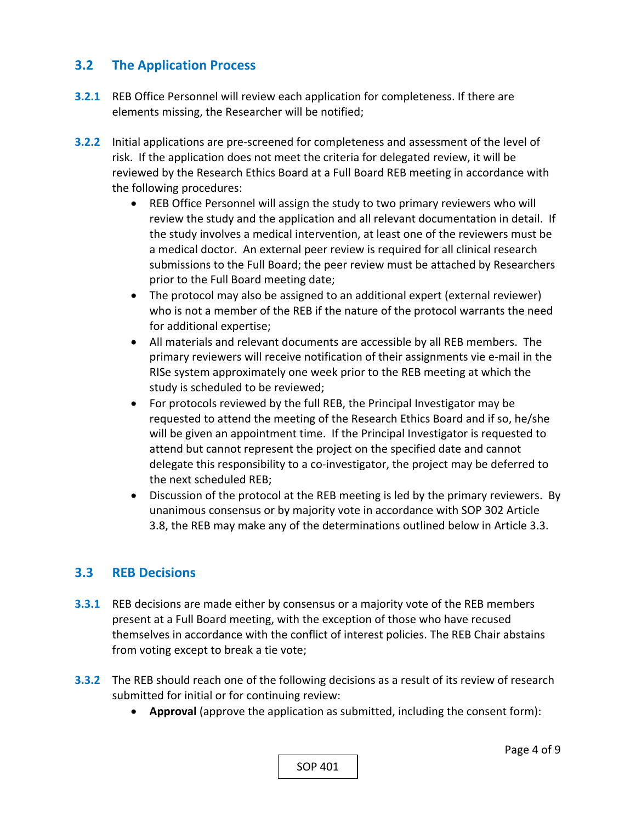## **3.2 The Application Process**

- **3.2.1** REB Office Personnel will review each application for completeness. If there are elements missing, the Researcher will be notified;
- **3.2.2** Initial applications are pre-screened for completeness and assessment of the level of risk. If the application does not meet the criteria for delegated review, it will be reviewed by the Research Ethics Board at a Full Board REB meeting in accordance with the following procedures:
	- REB Office Personnel will assign the study to two primary reviewers who will review the study and the application and all relevant documentation in detail. If the study involves a medical intervention, at least one of the reviewers must be a medical doctor. An external peer review is required for all clinical research submissions to the Full Board; the peer review must be attached by Researchers prior to the Full Board meeting date;
	- The protocol may also be assigned to an additional expert (external reviewer) who is not a member of the REB if the nature of the protocol warrants the need for additional expertise;
	- All materials and relevant documents are accessible by all REB members. The primary reviewers will receive notification of their assignments vie e‐mail in the RISe system approximately one week prior to the REB meeting at which the study is scheduled to be reviewed;
	- For protocols reviewed by the full REB, the Principal Investigator may be requested to attend the meeting of the Research Ethics Board and if so, he/she will be given an appointment time. If the Principal Investigator is requested to attend but cannot represent the project on the specified date and cannot delegate this responsibility to a co-investigator, the project may be deferred to the next scheduled REB;
	- Discussion of the protocol at the REB meeting is led by the primary reviewers. By unanimous consensus or by majority vote in accordance with SOP 302 Article 3.8, the REB may make any of the determinations outlined below in Article 3.3.

## **3.3 REB Decisions**

- **3.3.1** REB decisions are made either by consensus or a majority vote of the REB members present at a Full Board meeting, with the exception of those who have recused themselves in accordance with the conflict of interest policies. The REB Chair abstains from voting except to break a tie vote;
- **3.3.2** The REB should reach one of the following decisions as a result of its review of research submitted for initial or for continuing review:
	- **Approval** (approve the application as submitted, including the consent form):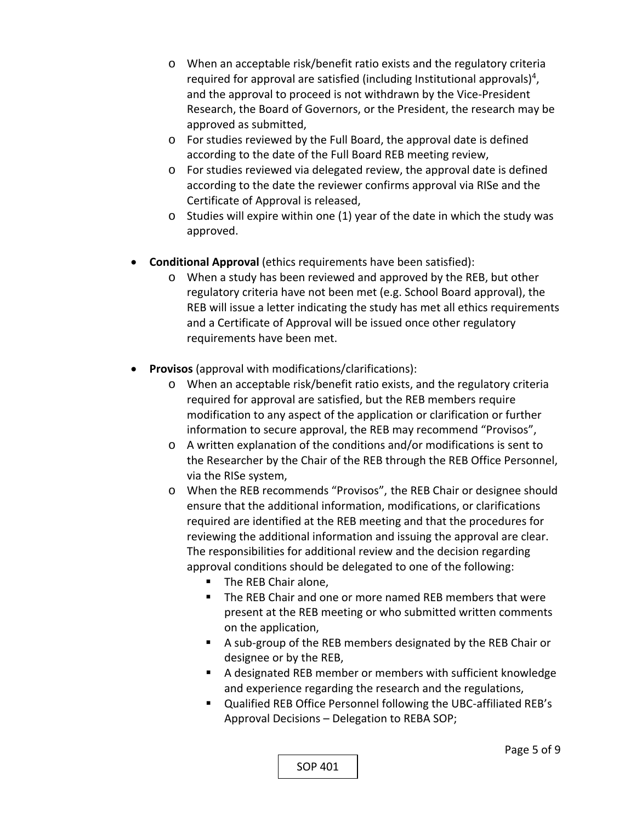- o When an acceptable risk/benefit ratio exists and the regulatory criteria required for approval are satisfied (including Institutional approvals)<sup>4</sup>, and the approval to proceed is not withdrawn by the Vice‐President Research, the Board of Governors, or the President, the research may be approved as submitted,
- o For studies reviewed by the Full Board, the approval date is defined according to the date of the Full Board REB meeting review,
- o For studies reviewed via delegated review, the approval date is defined according to the date the reviewer confirms approval via RISe and the Certificate of Approval is released,
- o Studies will expire within one (1) year of the date in which the study was approved.
- **Conditional Approval** (ethics requirements have been satisfied):
	- o When a study has been reviewed and approved by the REB, but other regulatory criteria have not been met (e.g. School Board approval), the REB will issue a letter indicating the study has met all ethics requirements and a Certificate of Approval will be issued once other regulatory requirements have been met.
- **Provisos** (approval with modifications/clarifications):
	- o When an acceptable risk/benefit ratio exists, and the regulatory criteria required for approval are satisfied, but the REB members require modification to any aspect of the application or clarification or further information to secure approval, the REB may recommend "Provisos",
	- o A written explanation of the conditions and/or modifications is sent to the Researcher by the Chair of the REB through the REB Office Personnel, via the RISe system,
	- o When the REB recommends "Provisos", the REB Chair or designee should ensure that the additional information, modifications, or clarifications required are identified at the REB meeting and that the procedures for reviewing the additional information and issuing the approval are clear. The responsibilities for additional review and the decision regarding approval conditions should be delegated to one of the following:
		- **The REB Chair alone,**
		- The REB Chair and one or more named REB members that were present at the REB meeting or who submitted written comments on the application,
		- A sub-group of the REB members designated by the REB Chair or designee or by the REB,
		- A designated REB member or members with sufficient knowledge and experience regarding the research and the regulations,
		- Qualified REB Office Personnel following the UBC-affiliated REB's Approval Decisions – Delegation to REBA SOP;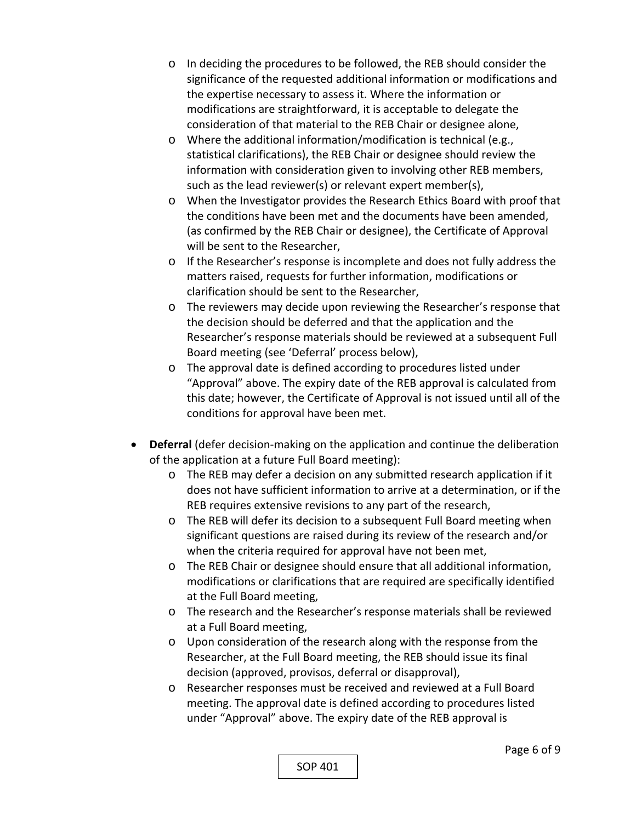- o In deciding the procedures to be followed, the REB should consider the significance of the requested additional information or modifications and the expertise necessary to assess it. Where the information or modifications are straightforward, it is acceptable to delegate the consideration of that material to the REB Chair or designee alone,
- o Where the additional information/modification is technical (e.g., statistical clarifications), the REB Chair or designee should review the information with consideration given to involving other REB members, such as the lead reviewer(s) or relevant expert member(s),
- o When the Investigator provides the Research Ethics Board with proof that the conditions have been met and the documents have been amended, (as confirmed by the REB Chair or designee), the Certificate of Approval will be sent to the Researcher,
- o If the Researcher's response is incomplete and does not fully address the matters raised, requests for further information, modifications or clarification should be sent to the Researcher,
- o The reviewers may decide upon reviewing the Researcher's response that the decision should be deferred and that the application and the Researcher's response materials should be reviewed at a subsequent Full Board meeting (see 'Deferral' process below),
- o The approval date is defined according to procedures listed under "Approval" above. The expiry date of the REB approval is calculated from this date; however, the Certificate of Approval is not issued until all of the conditions for approval have been met.
- Deferral (defer decision-making on the application and continue the deliberation of the application at a future Full Board meeting):
	- o The REB may defer a decision on any submitted research application if it does not have sufficient information to arrive at a determination, or if the REB requires extensive revisions to any part of the research,
	- o The REB will defer its decision to a subsequent Full Board meeting when significant questions are raised during its review of the research and/or when the criteria required for approval have not been met,
	- o The REB Chair or designee should ensure that all additional information, modifications or clarifications that are required are specifically identified at the Full Board meeting,
	- o The research and the Researcher's response materials shall be reviewed at a Full Board meeting,
	- o Upon consideration of the research along with the response from the Researcher, at the Full Board meeting, the REB should issue its final decision (approved, provisos, deferral or disapproval),
	- o Researcher responses must be received and reviewed at a Full Board meeting. The approval date is defined according to procedures listed under "Approval" above. The expiry date of the REB approval is

SOP 401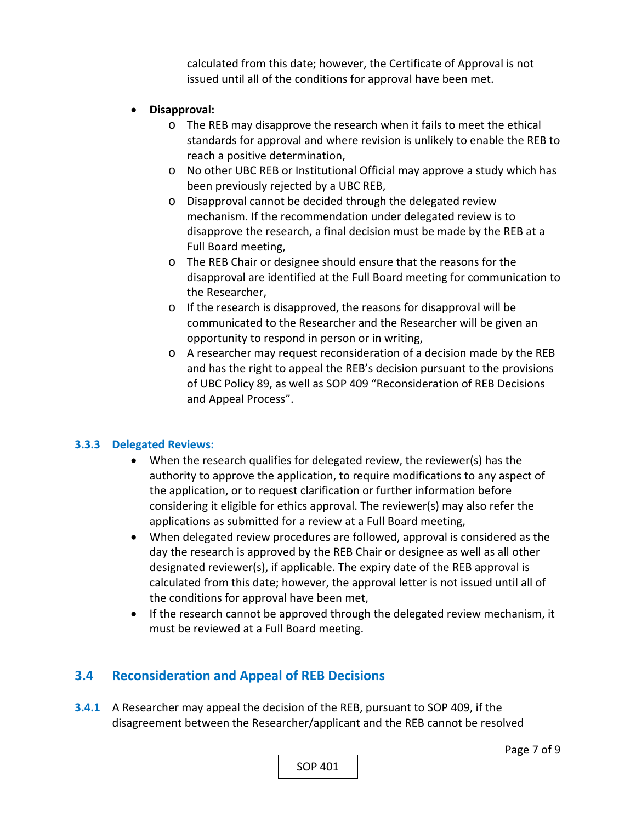calculated from this date; however, the Certificate of Approval is not issued until all of the conditions for approval have been met.

#### **Disapproval:**

- o The REB may disapprove the research when it fails to meet the ethical standards for approval and where revision is unlikely to enable the REB to reach a positive determination,
- o No other UBC REB or Institutional Official may approve a study which has been previously rejected by a UBC REB,
- o Disapproval cannot be decided through the delegated review mechanism. If the recommendation under delegated review is to disapprove the research, a final decision must be made by the REB at a Full Board meeting,
- o The REB Chair or designee should ensure that the reasons for the disapproval are identified at the Full Board meeting for communication to the Researcher,
- o If the research is disapproved, the reasons for disapproval will be communicated to the Researcher and the Researcher will be given an opportunity to respond in person or in writing,
- o A researcher may request reconsideration of a decision made by the REB and has the right to appeal the REB's decision pursuant to the provisions of UBC Policy 89, as well as SOP 409 "Reconsideration of REB Decisions and Appeal Process".

#### **3.3.3 Delegated Reviews:**

- When the research qualifies for delegated review, the reviewer(s) has the authority to approve the application, to require modifications to any aspect of the application, or to request clarification or further information before considering it eligible for ethics approval. The reviewer(s) may also refer the applications as submitted for a review at a Full Board meeting,
- When delegated review procedures are followed, approval is considered as the day the research is approved by the REB Chair or designee as well as all other designated reviewer(s), if applicable. The expiry date of the REB approval is calculated from this date; however, the approval letter is not issued until all of the conditions for approval have been met,
- If the research cannot be approved through the delegated review mechanism, it must be reviewed at a Full Board meeting.

# **3.4 Reconsideration and Appeal of REB Decisions**

**3.4.1** A Researcher may appeal the decision of the REB, pursuant to SOP 409, if the disagreement between the Researcher/applicant and the REB cannot be resolved

SOP 401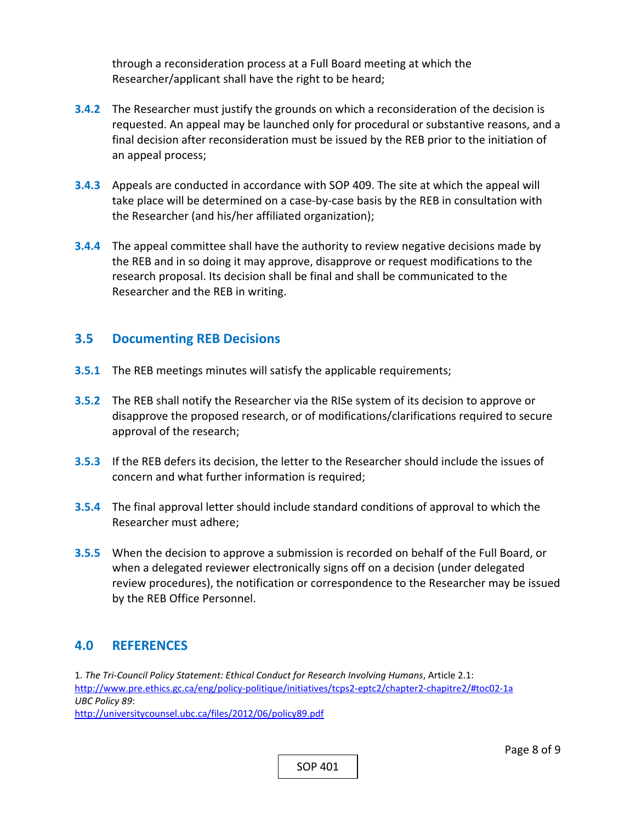through a reconsideration process at a Full Board meeting at which the Researcher/applicant shall have the right to be heard;

- **3.4.2** The Researcher must justify the grounds on which a reconsideration of the decision is requested. An appeal may be launched only for procedural or substantive reasons, and a final decision after reconsideration must be issued by the REB prior to the initiation of an appeal process;
- **3.4.3**  Appeals are conducted in accordance with SOP 409. The site at which the appeal will take place will be determined on a case‐by‐case basis by the REB in consultation with the Researcher (and his/her affiliated organization);
- **3.4.4**  The appeal committee shall have the authority to review negative decisions made by the REB and in so doing it may approve, disapprove or request modifications to the research proposal. Its decision shall be final and shall be communicated to the Researcher and the REB in writing.

#### **3.5 Documenting REB Decisions**

- **3.5.1** The REB meetings minutes will satisfy the applicable requirements;
- **3.5.2** The REB shall notify the Researcher via the RISe system of its decision to approve or disapprove the proposed research, or of modifications/clarifications required to secure approval of the research;
- **3.5.3**  If the REB defers its decision, the letter to the Researcher should include the issues of concern and what further information is required;
- **3.5.4**  The final approval letter should include standard conditions of approval to which the Researcher must adhere;
- **3.5.5**  When the decision to approve a submission is recorded on behalf of the Full Board, or when a delegated reviewer electronically signs off on a decision (under delegated review procedures), the notification or correspondence to the Researcher may be issued by the REB Office Personnel.

## **4.0 REFERENCES**

1. *The Tri‐Council Policy Statement: Ethical Conduct for Research Involving Humans*, Article 2.1: http://www.pre.ethics.gc.ca/eng/policy‐politique/initiatives/tcps2‐eptc2/chapter2‐chapitre2/#toc02‐1a *UBC Policy 89*:

http://universitycounsel.ubc.ca/files/2012/06/policy89.pdf